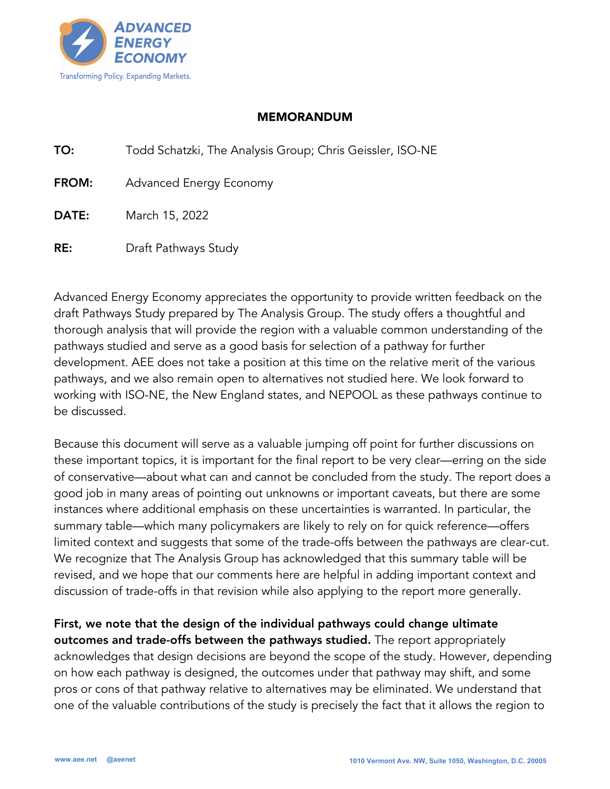

## MEMORANDUM

| TO: |  | Todd Schatzki, The Analysis Group; Chris Geissler, ISO-NE |
|-----|--|-----------------------------------------------------------|
|     |  |                                                           |

FROM: Advanced Energy Economy

DATE: March 15, 2022

RE: Draft Pathways Study

Advanced Energy Economy appreciates the opportunity to provide written feedback on the draft Pathways Study prepared by The Analysis Group. The study offers a thoughtful and thorough analysis that will provide the region with a valuable common understanding of the pathways studied and serve as a good basis for selection of a pathway for further development. AEE does not take a position at this time on the relative merit of the various pathways, and we also remain open to alternatives not studied here. We look forward to working with ISO-NE, the New England states, and NEPOOL as these pathways continue to be discussed.

Because this document will serve as a valuable jumping off point for further discussions on these important topics, it is important for the final report to be very clear—erring on the side of conservative—about what can and cannot be concluded from the study. The report does a good job in many areas of pointing out unknowns or important caveats, but there are some instances where additional emphasis on these uncertainties is warranted. In particular, the summary table—which many policymakers are likely to rely on for quick reference—offers limited context and suggests that some of the trade-offs between the pathways are clear-cut. We recognize that The Analysis Group has acknowledged that this summary table will be revised, and we hope that our comments here are helpful in adding important context and discussion of trade-offs in that revision while also applying to the report more generally.

## First, we note that the design of the individual pathways could change ultimate

outcomes and trade-offs between the pathways studied. The report appropriately acknowledges that design decisions are beyond the scope of the study. However, depending on how each pathway is designed, the outcomes under that pathway may shift, and some pros or cons of that pathway relative to alternatives may be eliminated. We understand that one of the valuable contributions of the study is precisely the fact that it allows the region to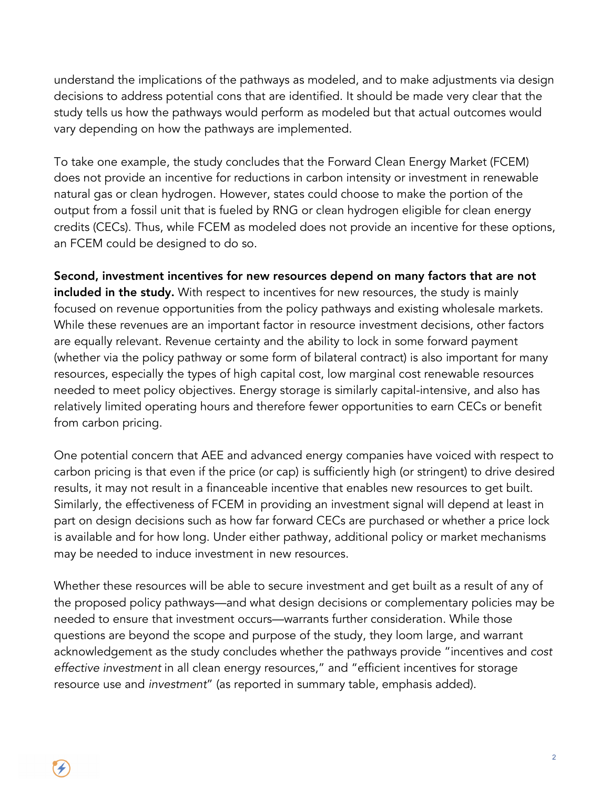understand the implications of the pathways as modeled, and to make adjustments via design decisions to address potential cons that are identified. It should be made very clear that the study tells us how the pathways would perform as modeled but that actual outcomes would vary depending on how the pathways are implemented.

To take one example, the study concludes that the Forward Clean Energy Market (FCEM) does not provide an incentive for reductions in carbon intensity or investment in renewable natural gas or clean hydrogen. However, states could choose to make the portion of the output from a fossil unit that is fueled by RNG or clean hydrogen eligible for clean energy credits (CECs). Thus, while FCEM as modeled does not provide an incentive for these options, an FCEM could be designed to do so.

Second, investment incentives for new resources depend on many factors that are not included in the study. With respect to incentives for new resources, the study is mainly focused on revenue opportunities from the policy pathways and existing wholesale markets. While these revenues are an important factor in resource investment decisions, other factors are equally relevant. Revenue certainty and the ability to lock in some forward payment (whether via the policy pathway or some form of bilateral contract) is also important for many resources, especially the types of high capital cost, low marginal cost renewable resources needed to meet policy objectives. Energy storage is similarly capital-intensive, and also has relatively limited operating hours and therefore fewer opportunities to earn CECs or benefit from carbon pricing.

One potential concern that AEE and advanced energy companies have voiced with respect to carbon pricing is that even if the price (or cap) is sufficiently high (or stringent) to drive desired results, it may not result in a financeable incentive that enables new resources to get built. Similarly, the effectiveness of FCEM in providing an investment signal will depend at least in part on design decisions such as how far forward CECs are purchased or whether a price lock is available and for how long. Under either pathway, additional policy or market mechanisms may be needed to induce investment in new resources.

Whether these resources will be able to secure investment and get built as a result of any of the proposed policy pathways—and what design decisions or complementary policies may be needed to ensure that investment occurs—warrants further consideration. While those questions are beyond the scope and purpose of the study, they loom large, and warrant acknowledgement as the study concludes whether the pathways provide "incentives and *cost effective investment* in all clean energy resources," and "efficient incentives for storage resource use and *investment*" (as reported in summary table, emphasis added).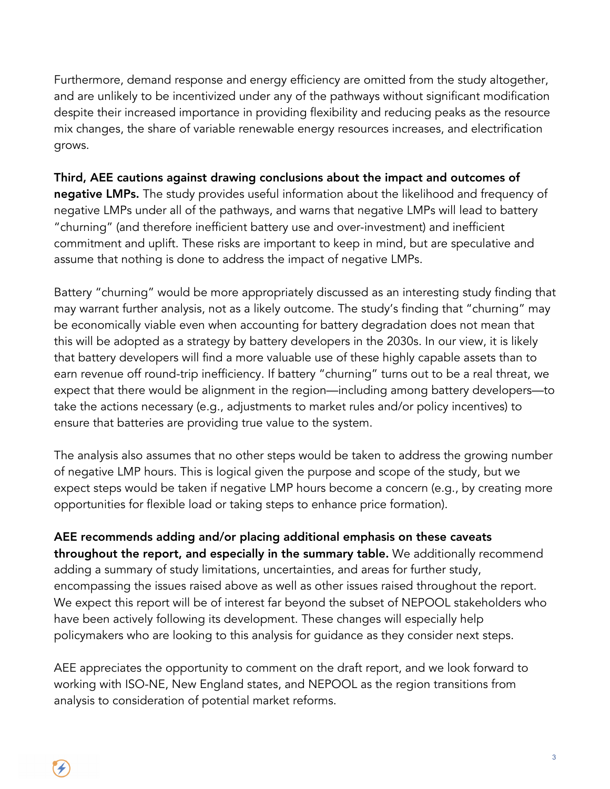Furthermore, demand response and energy efficiency are omitted from the study altogether, and are unlikely to be incentivized under any of the pathways without significant modification despite their increased importance in providing flexibility and reducing peaks as the resource mix changes, the share of variable renewable energy resources increases, and electrification grows.

Third, AEE cautions against drawing conclusions about the impact and outcomes of negative LMPs. The study provides useful information about the likelihood and frequency of negative LMPs under all of the pathways, and warns that negative LMPs will lead to battery "churning" (and therefore inefficient battery use and over-investment) and inefficient commitment and uplift. These risks are important to keep in mind, but are speculative and assume that nothing is done to address the impact of negative LMPs.

Battery "churning" would be more appropriately discussed as an interesting study finding that may warrant further analysis, not as a likely outcome. The study's finding that "churning" may be economically viable even when accounting for battery degradation does not mean that this will be adopted as a strategy by battery developers in the 2030s. In our view, it is likely that battery developers will find a more valuable use of these highly capable assets than to earn revenue off round-trip inefficiency. If battery "churning" turns out to be a real threat, we expect that there would be alignment in the region—including among battery developers—to take the actions necessary (e.g., adjustments to market rules and/or policy incentives) to ensure that batteries are providing true value to the system.

The analysis also assumes that no other steps would be taken to address the growing number of negative LMP hours. This is logical given the purpose and scope of the study, but we expect steps would be taken if negative LMP hours become a concern (e.g., by creating more opportunities for flexible load or taking steps to enhance price formation).

AEE recommends adding and/or placing additional emphasis on these caveats throughout the report, and especially in the summary table. We additionally recommend adding a summary of study limitations, uncertainties, and areas for further study, encompassing the issues raised above as well as other issues raised throughout the report. We expect this report will be of interest far beyond the subset of NEPOOL stakeholders who have been actively following its development. These changes will especially help policymakers who are looking to this analysis for guidance as they consider next steps.

AEE appreciates the opportunity to comment on the draft report, and we look forward to working with ISO-NE, New England states, and NEPOOL as the region transitions from analysis to consideration of potential market reforms.